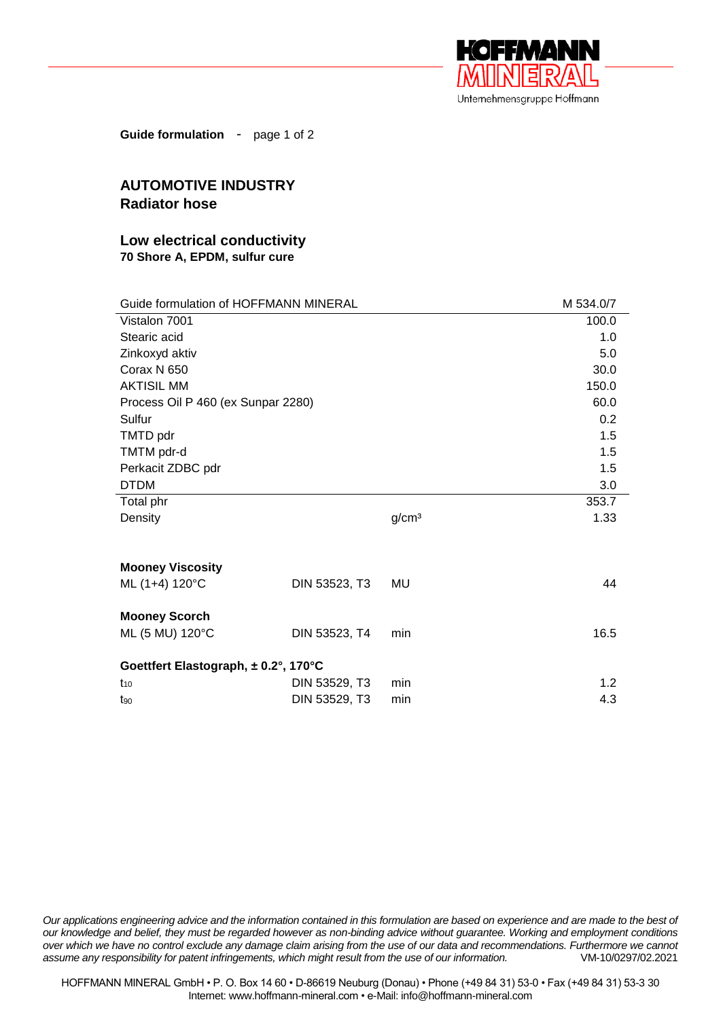

**Guide formulation** - page 1 of 2

## **AUTOMOTIVE INDUSTRY Radiator hose**

## **Low electrical conductivity 70 Shore A, EPDM, sulfur cure**

| Guide formulation of HOFFMANN MINERAL |               |                   | M 534.0/7 |  |
|---------------------------------------|---------------|-------------------|-----------|--|
| Vistalon 7001                         |               |                   | 100.0     |  |
| Stearic acid                          |               |                   | 1.0       |  |
| Zinkoxyd aktiv                        |               |                   | 5.0       |  |
| Corax N 650                           |               |                   | 30.0      |  |
| <b>AKTISIL MM</b>                     |               |                   | 150.0     |  |
| Process Oil P 460 (ex Sunpar 2280)    |               |                   | 60.0      |  |
| Sulfur                                |               |                   | 0.2       |  |
| TMTD pdr                              |               |                   | 1.5       |  |
| TMTM pdr-d                            |               |                   | 1.5       |  |
| Perkacit ZDBC pdr                     |               |                   | 1.5       |  |
| <b>DTDM</b>                           |               |                   | 3.0       |  |
| Total phr                             |               |                   | 353.7     |  |
| Density                               |               | g/cm <sup>3</sup> | 1.33      |  |
|                                       |               |                   |           |  |
|                                       |               |                   |           |  |
| <b>Mooney Viscosity</b>               |               |                   |           |  |
| ML (1+4) 120°C                        | DIN 53523, T3 | MU                | 44        |  |
| <b>Mooney Scorch</b>                  |               |                   |           |  |
| ML (5 MU) 120°C                       | DIN 53523, T4 | min               | 16.5      |  |
|                                       |               |                   |           |  |
| Goettfert Elastograph, ± 0.2°, 170°C  |               |                   |           |  |
| $t_{10}$                              | DIN 53529, T3 | min               | 1.2       |  |
| $t_{90}$                              | DIN 53529, T3 | min               | 4.3       |  |

*Our applications engineering advice and the information contained in this formulation are based on experience and are made to the best of our knowledge and belief, they must be regarded however as non-binding advice without guarantee. Working and employment conditions over which we have no control exclude any damage claim arising from the use of our data and recommendations. Furthermore we cannot assume any responsibility for patent infringements, which might result from the use of our information.* VM-10/0297/02.2021